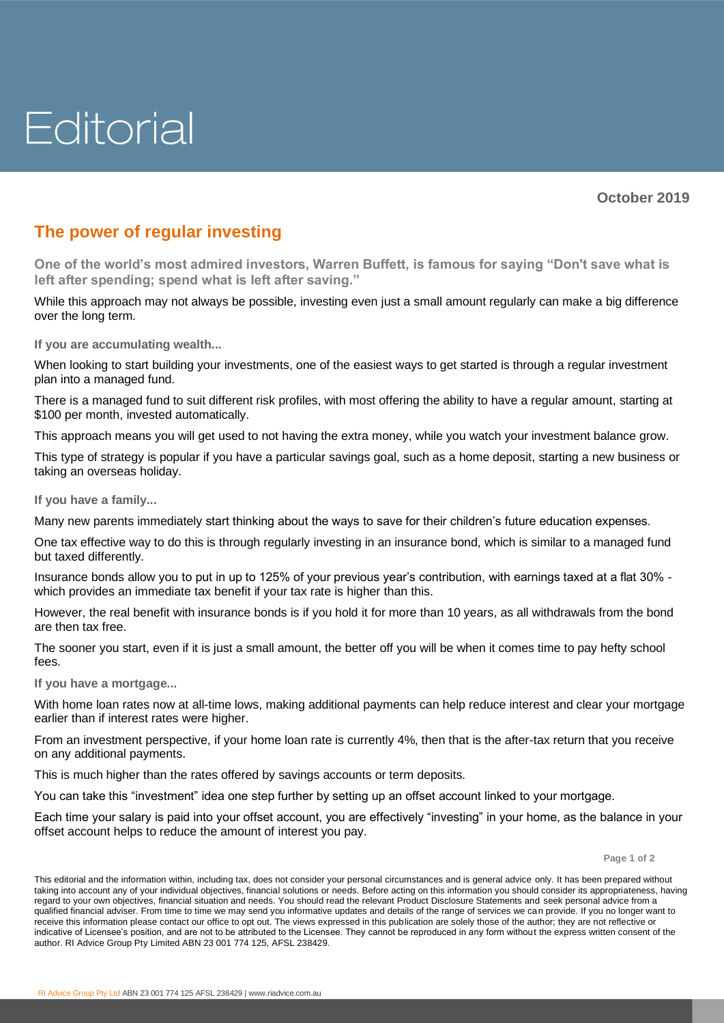## Editorial

**October 2019**

## **The power of regular investing**

**One of the world's most admired investors, Warren Buffett, is famous for saying "Don't save what is left after spending; spend what is left after saving."**

While this approach may not always be possible, investing even just a small amount regularly can make a big difference over the long term.

**If you are accumulating wealth...** 

When looking to start building your investments, one of the easiest ways to get started is through a regular investment plan into a managed fund.

There is a managed fund to suit different risk profiles, with most offering the ability to have a regular amount, starting at \$100 per month, invested automatically.

This approach means you will get used to not having the extra money, while you watch your investment balance grow.

This type of strategy is popular if you have a particular savings goal, such as a home deposit, starting a new business or taking an overseas holiday.

**If you have a family...**

Many new parents immediately start thinking about the ways to save for their children's future education expenses.

One tax effective way to do this is through regularly investing in an insurance bond, which is similar to a managed fund but taxed differently.

Insurance bonds allow you to put in up to 125% of your previous year's contribution, with earnings taxed at a flat 30% which provides an immediate tax benefit if your tax rate is higher than this.

However, the real benefit with insurance bonds is if you hold it for more than 10 years, as all withdrawals from the bond are then tax free.

The sooner you start, even if it is just a small amount, the better off you will be when it comes time to pay hefty school fees.

**If you have a mortgage...**

With home loan rates now at all-time lows, making additional payments can help reduce interest and clear your mortgage earlier than if interest rates were higher.

From an investment perspective, if your home loan rate is currently 4%, then that is the after-tax return that you receive on any additional payments.

This is much higher than the rates offered by savings accounts or term deposits.

You can take this "investment" idea one step further by setting up an offset account linked to your mortgage.

Each time your salary is paid into your offset account, you are effectively "investing" in your home, as the balance in your offset account helps to reduce the amount of interest you pay.

**Page 1 of 2**

This editorial and the information within, including tax, does not consider your personal circumstances and is general advice only. It has been prepared without taking into account any of your individual objectives, financial solutions or needs. Before acting on this information you should consider its appropriateness, having regard to your own objectives, financial situation and needs. You should read the relevant Product Disclosure Statements and seek personal advice from a qualified financial adviser. From time to time we may send you informative updates and details of the range of services we can provide. If you no longer want to receive this information please contact our office to opt out. The views expressed in this publication are solely those of the author; they are not reflective or indicative of Licensee's position, and are not to be attributed to the Licensee. They cannot be reproduced in any form without the express written consent of the author. RI Advice Group Pty Limited ABN 23 001 774 125, AFSL 238429.